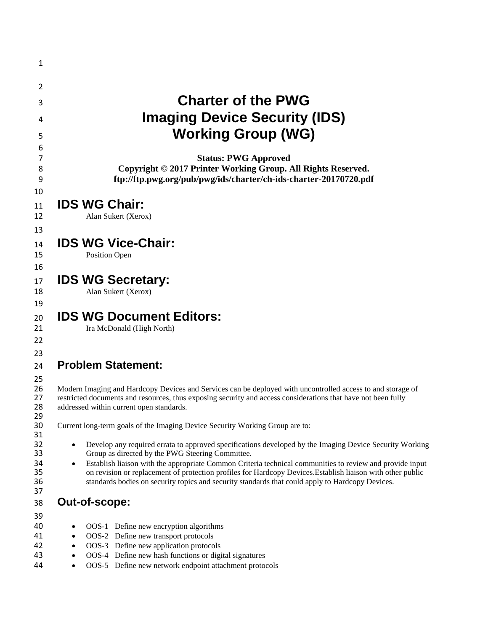| 1        |                                                                                                                                                                                                                              |
|----------|------------------------------------------------------------------------------------------------------------------------------------------------------------------------------------------------------------------------------|
| 2        |                                                                                                                                                                                                                              |
| 3        | <b>Charter of the PWG</b>                                                                                                                                                                                                    |
|          |                                                                                                                                                                                                                              |
| 4        | <b>Imaging Device Security (IDS)</b>                                                                                                                                                                                         |
| 5        | <b>Working Group (WG)</b>                                                                                                                                                                                                    |
| 6<br>7   | <b>Status: PWG Approved</b>                                                                                                                                                                                                  |
| 8        | Copyright © 2017 Printer Working Group. All Rights Reserved.                                                                                                                                                                 |
| 9        | ftp://ftp.pwg.org/pub/pwg/ids/charter/ch-ids-charter-20170720.pdf                                                                                                                                                            |
| 10<br>11 | <b>IDS WG Chair:</b>                                                                                                                                                                                                         |
| 12       | Alan Sukert (Xerox)                                                                                                                                                                                                          |
| 13       |                                                                                                                                                                                                                              |
| 14       | <b>IDS WG Vice-Chair:</b>                                                                                                                                                                                                    |
| 15       | <b>Position Open</b>                                                                                                                                                                                                         |
| 16       |                                                                                                                                                                                                                              |
| 17       | <b>IDS WG Secretary:</b>                                                                                                                                                                                                     |
| 18       | Alan Sukert (Xerox)                                                                                                                                                                                                          |
| 19       |                                                                                                                                                                                                                              |
| 20       | <b>IDS WG Document Editors:</b>                                                                                                                                                                                              |
| 21       | Ira McDonald (High North)                                                                                                                                                                                                    |
| 22       |                                                                                                                                                                                                                              |
| 23       |                                                                                                                                                                                                                              |
| 24       | <b>Problem Statement:</b>                                                                                                                                                                                                    |
| 25       |                                                                                                                                                                                                                              |
| 26<br>27 | Modern Imaging and Hardcopy Devices and Services can be deployed with uncontrolled access to and storage of<br>restricted documents and resources, thus exposing security and access considerations that have not been fully |
| 28       | addressed within current open standards.                                                                                                                                                                                     |
| 29<br>30 | Current long-term goals of the Imaging Device Security Working Group are to:                                                                                                                                                 |
| 31       |                                                                                                                                                                                                                              |
| 32       | Develop any required errata to approved specifications developed by the Imaging Device Security Working<br>$\bullet$                                                                                                         |
| 33<br>34 | Group as directed by the PWG Steering Committee.<br>Establish liaison with the appropriate Common Criteria technical communities to review and provide input<br>$\bullet$                                                    |
| 35       | on revision or replacement of protection profiles for Hardcopy Devices. Establish liaison with other public                                                                                                                  |
| 36       | standards bodies on security topics and security standards that could apply to Hardcopy Devices.                                                                                                                             |
| 37       | Out-of-scope:                                                                                                                                                                                                                |
| 38       |                                                                                                                                                                                                                              |
| 39<br>40 | OOS-1 Define new encryption algorithms<br>$\bullet$                                                                                                                                                                          |
| 41       | OOS-2 Define new transport protocols<br>$\bullet$                                                                                                                                                                            |
| 42       | OOS-3 Define new application protocols<br>$\bullet$                                                                                                                                                                          |
| 43       | OOS-4 Define new hash functions or digital signatures<br>$\bullet$                                                                                                                                                           |
| 44       | OOS-5 Define new network endpoint attachment protocols<br>$\bullet$                                                                                                                                                          |